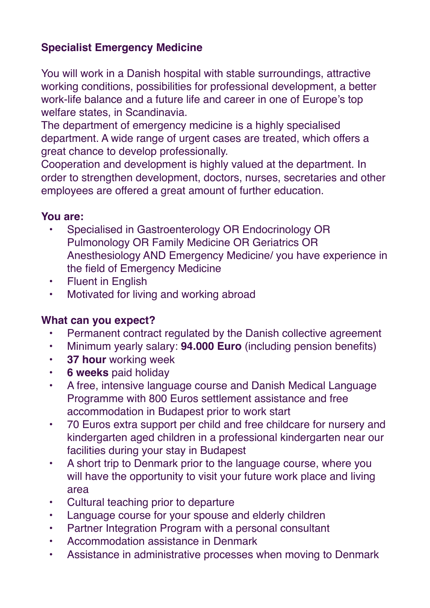## **Specialist Emergency Medicine**

You will work in a Danish hospital with stable surroundings, attractive working conditions, possibilities for professional development, a better work-life balance and a future life and career in one of Europe's top welfare states, in Scandinavia.

The department of emergency medicine is a highly specialised department. A wide range of urgent cases are treated, which offers a great chance to develop professionally.

Cooperation and development is highly valued at the department. In order to strengthen development, doctors, nurses, secretaries and other employees are offered a great amount of further education.

## **You are:**

- Specialised in Gastroenterology OR Endocrinology OR Pulmonology OR Family Medicine OR Geriatrics OR Anesthesiology AND Emergency Medicine/ you have experience in the field of Emergency Medicine
- Fluent in English
- Motivated for living and working abroad

## **What can you expect?**

- Permanent contract regulated by the Danish collective agreement
- Minimum yearly salary: **94.000 Euro** (including pension benefits)
- **37 hour** working week
- **6 weeks** paid holiday
- A free, intensive language course and Danish Medical Language Programme with 800 Euros settlement assistance and free accommodation in Budapest prior to work start
- 70 Euros extra support per child and free childcare for nursery and kindergarten aged children in a professional kindergarten near our facilities during your stay in Budapest
- A short trip to Denmark prior to the language course, where you will have the opportunity to visit your future work place and living area
- Cultural teaching prior to departure
- Language course for your spouse and elderly children
- Partner Integration Program with a personal consultant
- Accommodation assistance in Denmark
- Assistance in administrative processes when moving to Denmark